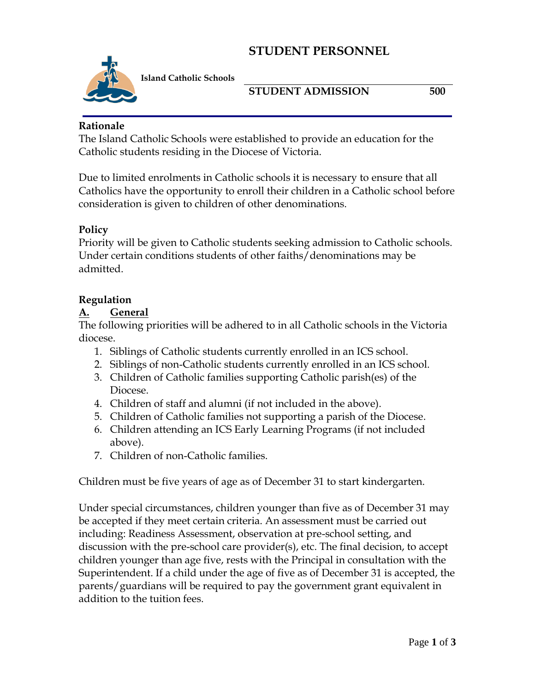# **STUDENT PERSONNEL**



**Island Catholic Schools** 

### **STUDENT ADMISSION 500**

#### **Rationale**

The Island Catholic Schools were established to provide an education for the Catholic students residing in the Diocese of Victoria.

Due to limited enrolments in Catholic schools it is necessary to ensure that all Catholics have the opportunity to enroll their children in a Catholic school before consideration is given to children of other denominations.

#### **Policy**

Priority will be given to Catholic students seeking admission to Catholic schools. Under certain conditions students of other faiths/denominations may be admitted.

#### **Regulation**

#### **A. General**

The following priorities will be adhered to in all Catholic schools in the Victoria diocese.

- 1. Siblings of Catholic students currently enrolled in an ICS school.
- 2. Siblings of non-Catholic students currently enrolled in an ICS school.
- 3. Children of Catholic families supporting Catholic parish(es) of the Diocese.
- 4. Children of staff and alumni (if not included in the above).
- 5. Children of Catholic families not supporting a parish of the Diocese.
- 6. Children attending an ICS Early Learning Programs (if not included above).
- 7. Children of non-Catholic families.

Children must be five years of age as of December 31 to start kindergarten.

Under special circumstances, children younger than five as of December 31 may be accepted if they meet certain criteria. An assessment must be carried out including: Readiness Assessment, observation at pre-school setting, and discussion with the pre-school care provider(s), etc. The final decision, to accept children younger than age five, rests with the Principal in consultation with the Superintendent. If a child under the age of five as of December 31 is accepted, the parents/guardians will be required to pay the government grant equivalent in addition to the tuition fees.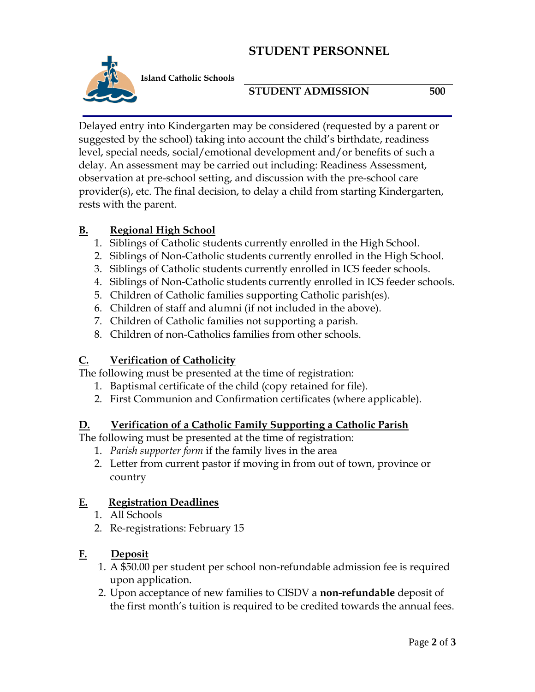# **STUDENT PERSONNEL**



**STUDENT ADMISSION 500**

Delayed entry into Kindergarten may be considered (requested by a parent or suggested by the school) taking into account the child's birthdate, readiness level, special needs, social/emotional development and/or benefits of such a delay. An assessment may be carried out including: Readiness Assessment, observation at pre-school setting, and discussion with the pre-school care provider(s), etc. The final decision, to delay a child from starting Kindergarten, rests with the parent.

#### **B. Regional High School**

- 1. Siblings of Catholic students currently enrolled in the High School.
- 2. Siblings of Non-Catholic students currently enrolled in the High School.
- 3. Siblings of Catholic students currently enrolled in ICS feeder schools.
- 4. Siblings of Non-Catholic students currently enrolled in ICS feeder schools.
- 5. Children of Catholic families supporting Catholic parish(es).
- 6. Children of staff and alumni (if not included in the above).
- 7. Children of Catholic families not supporting a parish.
- 8. Children of non-Catholics families from other schools.

## **C. Verification of Catholicity**

The following must be presented at the time of registration:

- 1. Baptismal certificate of the child (copy retained for file).
- 2. First Communion and Confirmation certificates (where applicable).

#### **D. Verification of a Catholic Family Supporting a Catholic Parish**

The following must be presented at the time of registration:

- 1. *Parish supporter form* if the family lives in the area
- 2. Letter from current pastor if moving in from out of town, province or country

## **E. Registration Deadlines**

- 1. All Schools
- 2. Re-registrations: February 15

## **F. Deposit**

- 1. A \$50.00 per student per school non-refundable admission fee is required upon application.
- 2. Upon acceptance of new families to CISDV a **non-refundable** deposit of the first month's tuition is required to be credited towards the annual fees.